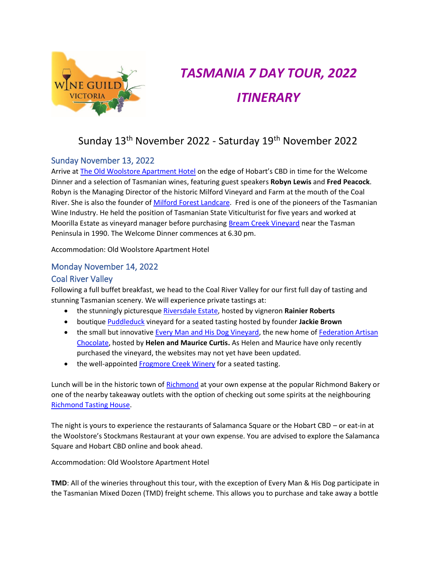

# *TASMANIA 7 DAY TOUR, 2022 ITINERARY*

# Sunday 13<sup>th</sup> November 2022 - Saturday 19<sup>th</sup> November 2022

# Sunday November 13, 2022

Arrive at [The Old Woolstore Apartment Hotel](https://www.oldwoolstore.com.au/) on the edge of Hobart's CBD in time for the Welcome Dinner and a selection of Tasmanian wines, featuring guest speakers **Robyn Lewis** and **Fred Peacock**. Robyn is the Managing Director of the historic Milford Vineyard and Farm at the mouth of the Coal River. She is also the founder of Milford [Forest Landcare.](https://www.landcaretas.org.au/milford_forest) Fred is one of the pioneers of the Tasmanian Wine Industry. He held the position of Tasmanian State Viticulturist for five years and worked at Moorilla Estate as vineyard manager before purchasing [Bream Creek Vineyard](https://www.breamcreekvineyard.com.au/) near the Tasman Peninsula in 1990. The Welcome Dinner commences at 6.30 pm.

Accommodation: Old Woolstore Apartment Hotel

# Monday November 14, 2022

## Coal River Valley

Following a full buffet breakfast, we head to the Coal River Valley for our first full day of tasting and stunning Tasmanian scenery. We will experience private tastings at:

- the stunningly picturesque [Riversdale Estate,](https://riversdaleestate.com.au/) hosted by vigneron **Rainier Roberts**
- boutique [Puddleduck](https://www.puddleduckvineyard.com.au/) vineyard for a seated tasting hosted by founder **Jackie Brown**
- the small but innovative [Every Man and His Dog Vineyard,](https://everymanandhisdogvineyard.com/) the new home of Federation Artisan [Chocolate,](https://www.federationchocolate.com/pages/about-us-1) hosted by **Helen and Maurice Curtis.** As Helen and Maurice have only recently purchased the vineyard, the websites may not yet have been updated.
- the well-appointe[d Frogmore Creek Winery](https://frogmorecreek.com.au/) for a seated tasting.

Lunch will be in the historic town of [Richmond](http://www.richmondvillage.com.au/) at your own expense at the popular Richmond Bakery or one of the nearby takeaway outlets with the option of checking out some spirits at the neighbouring [Richmond Tasting House.](https://www.tastinghouse.com.au/)

The night is yours to experience the restaurants of Salamanca Square or the Hobart CBD – or eat-in at the Woolstore's Stockmans Restaurant at your own expense. You are advised to explore the Salamanca Square and Hobart CBD online and book ahead.

Accommodation: Old Woolstore Apartment Hotel

**TMD**: All of the wineries throughout this tour, with the exception of Every Man & His Dog participate in the Tasmanian Mixed Dozen (TMD) freight scheme. This allows you to purchase and take away a bottle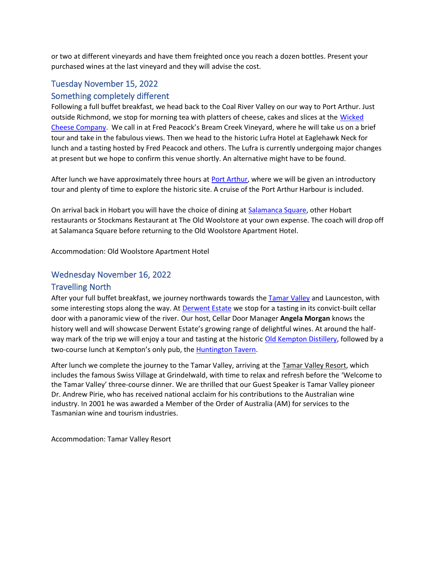or two at different vineyards and have them freighted once you reach a dozen bottles. Present your purchased wines at the last vineyard and they will advise the cost.

# Tuesday November 15, 2022

#### Something completely different

Following a full buffet breakfast, we head back to the Coal River Valley on our way to Port Arthur. Just outside Richmond, we stop for morning tea with platters of cheese, cakes and slices at the [Wicked](https://wickedcheese.com.au/)  [Cheese Company.](https://wickedcheese.com.au/) We call in at Fred Peacock's Bream Creek Vineyard, where he will take us on a brief tour and take in the fabulous views. Then we head to the historic Lufra Hotel at Eaglehawk Neck for lunch and a tasting hosted by Fred Peacock and others. The Lufra is currently undergoing major changes at present but we hope to confirm this venue shortly. An alternative might have to be found.

After lunch we have approximately three hours at [Port Arthur,](https://portarthur.org.au/) where we will be given an introductory tour and plenty of time to explore the historic site. A cruise of the Port Arthur Harbour is included.

On arrival back in Hobart you will have the choice of dining at [Salamanca Square,](https://www.tripadvisor.com.au/RestaurantsNear-g255097-d12918446-Salamanca_Square-Hobart_Greater_Hobart_Tasmania.html) other Hobart restaurants or Stockmans Restaurant at The Old Woolstore at your own expense. The coach will drop off at Salamanca Square before returning to the Old Woolstore Apartment Hotel.

Accommodation: Old Woolstore Apartment Hotel

## Wednesday November 16, 2022

#### Travelling North

After your full buffet breakfast, we journey northwards towards the [Tamar Valley](https://www.tamarvalley.com.au/) and Launceston, with some interesting stops along the way. At **Derwent Estate** we stop for a tasting in its convict-built cellar door with a panoramic view of the river. Our host, Cellar Door Manager **Angela Morgan** knows the history well and will showcase Derwent Estate's growing range of delightful wines. At around the half-way mark of the trip we will enjoy a tour and tasting at the historic [Old Kempton Distillery,](https://www.oldkemptondistillery.com.au/home/) followed by a two-course lunch at Kempton's only pub, th[e Huntington](https://thehuntingtonkempton.com.au/) Tavern.

After lunch we complete the journey to the Tamar Valley, arriving at the [Tamar Valley Resort,](https://www.tamarvalleyresort.com.au/) which includes the famous Swiss Village at Grindelwald, with time to relax and refresh before the 'Welcome to the Tamar Valley' three-course dinner. We are thrilled that our Guest Speaker is Tamar Valley pioneer Dr. Andrew Pirie, who has received national acclaim for his contributions to the Australian wine industry. In 2001 he was awarded a Member of the Order of Australia (AM) for services to the Tasmanian wine and tourism industries.

Accommodation: Tamar Valley Resort